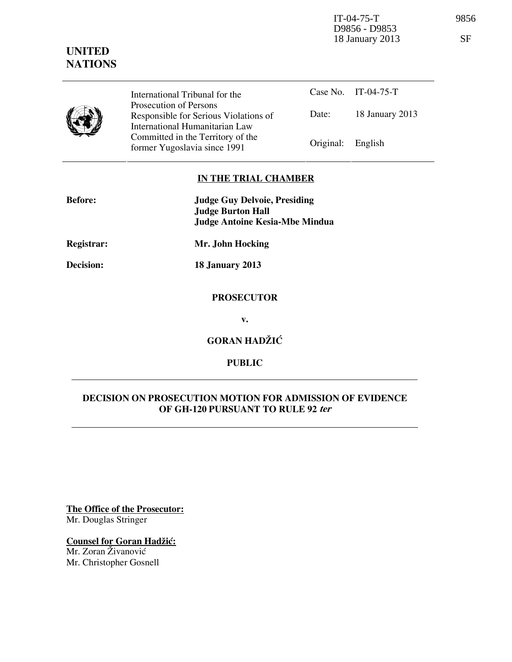IT-04-75-T 9856 18 January 2013 SF

# **UNITED NATIONS**

D9856 - D9853

|  | International Tribunal for the                                                                    |                   | Case No. IT-04-75-T |
|--|---------------------------------------------------------------------------------------------------|-------------------|---------------------|
|  | Prosecution of Persons<br>Responsible for Serious Violations of<br>International Humanitarian Law | Date:             | 18 January 2013     |
|  | Committed in the Territory of the<br>former Yugoslavia since 1991                                 | Original: English |                     |

## **IN THE TRIAL CHAMBER**

| <b>Before:</b> | <b>Judge Guy Delvoie, Presiding</b><br><b>Judge Burton Hall</b><br><b>Judge Antoine Kesia-Mbe Mindua</b> |
|----------------|----------------------------------------------------------------------------------------------------------|
| Registrar:     | Mr. John Hocking                                                                                         |
| Decision:      | <b>18 January 2013</b>                                                                                   |
|                | <b>PROSECUTOR</b>                                                                                        |
|                | v.                                                                                                       |
|                | <b>GORAN HADŽIĆ</b>                                                                                      |

**PUBLIC** 

## **DECISION ON PROSECUTION MOTION FOR ADMISSION OF EVIDENCE OF GH-120 PURSUANT TO RULE 92 ter**

**The Office of the Prosecutor:** Mr. Douglas Stringer

**Counsel for Goran Hadžić:** 

Mr. Zoran Živanović Mr. Christopher Gosnell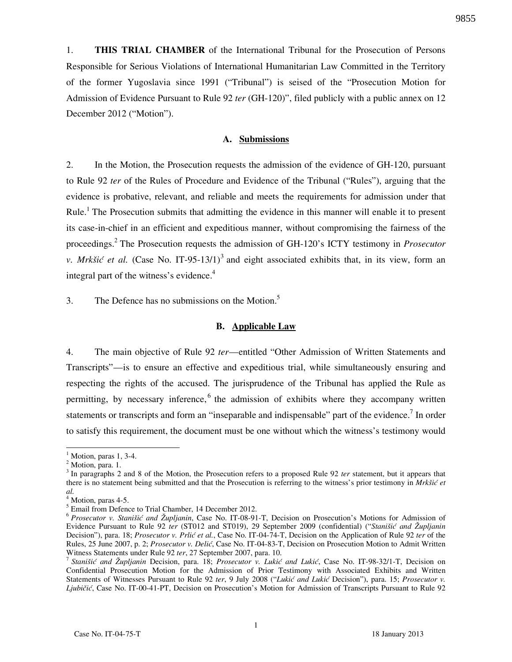1. **THIS TRIAL CHAMBER** of the International Tribunal for the Prosecution of Persons Responsible for Serious Violations of International Humanitarian Law Committed in the Territory of the former Yugoslavia since 1991 ("Tribunal") is seised of the "Prosecution Motion for Admission of Evidence Pursuant to Rule 92 *ter* (GH-120)", filed publicly with a public annex on 12 December 2012 ("Motion").

#### **A. Submissions**

2. In the Motion, the Prosecution requests the admission of the evidence of GH-120, pursuant to Rule 92 *ter* of the Rules of Procedure and Evidence of the Tribunal ("Rules"), arguing that the evidence is probative, relevant, and reliable and meets the requirements for admission under that Rule.<sup>1</sup> The Prosecution submits that admitting the evidence in this manner will enable it to present its case-in-chief in an efficient and expeditious manner, without compromising the fairness of the proceedings.<sup>2</sup> The Prosecution requests the admission of GH-120's ICTY testimony in *Prosecutor v. Mrkšić et al.* (Case No. IT-95-13/1)<sup>3</sup> and eight associated exhibits that, in its view, form an integral part of the witness's evidence. $4$ 

3. The Defence has no submissions on the Motion.<sup>5</sup>

#### **B. Applicable Law**

4. The main objective of Rule 92 *ter*—entitled "Other Admission of Written Statements and Transcripts"—is to ensure an effective and expeditious trial, while simultaneously ensuring and respecting the rights of the accused. The jurisprudence of the Tribunal has applied the Rule as permitting, by necessary inference, <sup>6</sup> the admission of exhibits where they accompany written statements or transcripts and form an "inseparable and indispensable" part of the evidence.<sup>7</sup> In order to satisfy this requirement, the document must be one without which the witness's testimony would

 $\overline{a}$ 

 $<sup>1</sup>$  Motion, paras 1, 3-4.</sup>

<sup>&</sup>lt;sup>2</sup> Motion, para. 1.

<sup>&</sup>lt;sup>3</sup> In paragraphs 2 and 8 of the Motion, the Prosecution refers to a proposed Rule 92 ter statement, but it appears that there is no statement being submitted and that the Prosecution is referring to the witness's prior testimony in *Mrkšić et al.*

 $^4$  Motion, paras 4-5.<br> $^5$  Email from Defence to Trial Chamber, 14 December 2012.

<sup>6</sup> *Prosecutor v. Stanišić and Župljanin*, Case No. IT-08-91-T, Decision on Prosecution's Motions for Admission of Evidence Pursuant to Rule 92 *ter* (ST012 and ST019), 29 September 2009 (confidential) ("*Stanišić and Župljanin* Decision"), para. 18; *Prosecutor v. Prlić et al.*, Case No. IT-04-74-T, Decision on the Application of Rule 92 *ter* of the Rules, 25 June 2007, p. 2; *Prosecutor v. Delić*, Case No. IT-04-83-T, Decision on Prosecution Motion to Admit Written Witness Statements under Rule 92 *ter*, 27 September 2007, para. 10.

<sup>&</sup>lt;sup>7</sup> Stanišić and Župljanin Decision, para. 18; Prosecutor v. Lukić and Lukić, Case No. IT-98-32/1-T, Decision on Confidential Prosecution Motion for the Admission of Prior Testimony with Associated Exhibits and Written Statements of Witnesses Pursuant to Rule 92 ter, 9 July 2008 ("Lukić and Lukić Decision"), para. 15; *Prosecutor v. Ljubičić*, Case No. IT-00-41-PT, Decision on Prosecution's Motion for Admission of Transcripts Pursuant to Rule 92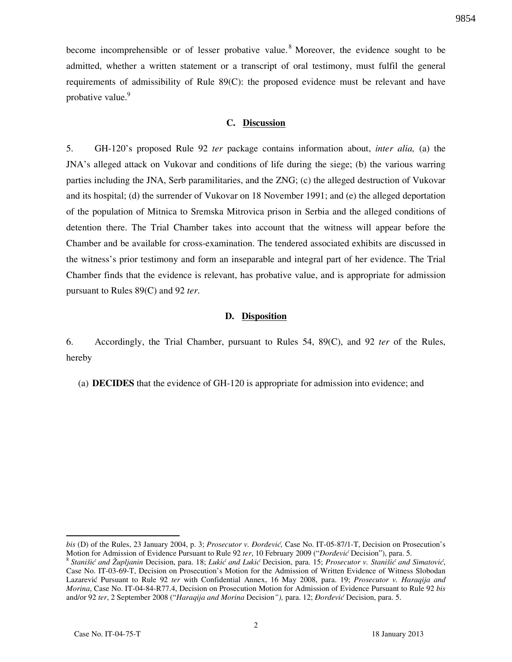become incomprehensible or of lesser probative value.<sup>8</sup> Moreover, the evidence sought to be admitted, whether a written statement or a transcript of oral testimony, must fulfil the general requirements of admissibility of Rule 89(C): the proposed evidence must be relevant and have probative value.<sup>9</sup>

#### **C. Discussion**

5. GH-120's proposed Rule 92 *ter* package contains information about, *inter alia,* (a) the JNA's alleged attack on Vukovar and conditions of life during the siege; (b) the various warring parties including the JNA, Serb paramilitaries, and the ZNG; (c) the alleged destruction of Vukovar and its hospital; (d) the surrender of Vukovar on 18 November 1991; and (e) the alleged deportation of the population of Mitnica to Sremska Mitrovica prison in Serbia and the alleged conditions of detention there. The Trial Chamber takes into account that the witness will appear before the Chamber and be available for cross-examination. The tendered associated exhibits are discussed in the witness's prior testimony and form an inseparable and integral part of her evidence. The Trial Chamber finds that the evidence is relevant, has probative value, and is appropriate for admission pursuant to Rules 89(C) and 92 *ter*.

### **D. Disposition**

6. Accordingly, the Trial Chamber, pursuant to Rules 54, 89(C), and 92 *ter* of the Rules, hereby

(a) **DECIDES** that the evidence of GH-120 is appropriate for admission into evidence; and

 $\overline{a}$ 

*bis* (D) of the Rules, 23 January 2004, p. 3; *Prosecutor v. Đorđević*, Case No. IT-05-87/1-T, Decision on Prosecution's Motion for Admission of Evidence Pursuant to Rule 92 *ter*, 10 February 2009 ("*Dorđević* Decision"), para. 5.

<sup>&</sup>lt;sup>8</sup> Stanišić and Župljanin Decision, para. 18; Lukić and Lukić Decision, para. 15; *Prosecutor v. Stanišić and Simatović*, Case No. IT-03-69-T, Decision on Prosecution's Motion for the Admission of Written Evidence of Witness Slobodan Lazarevi} Pursuant to Rule 92 *ter* with Confidential Annex, 16 May 2008, para. 19; *Prosecutor v. Haraqija and Morina*, Case No. IT-04-84-R77.4, Decision on Prosecution Motion for Admission of Evidence Pursuant to Rule 92 *bis* and/or 92 ter, 2 September 2008 ("*Haraqija and Morina* Decision"), para. 12; *Dordević* Decision, para. 5.